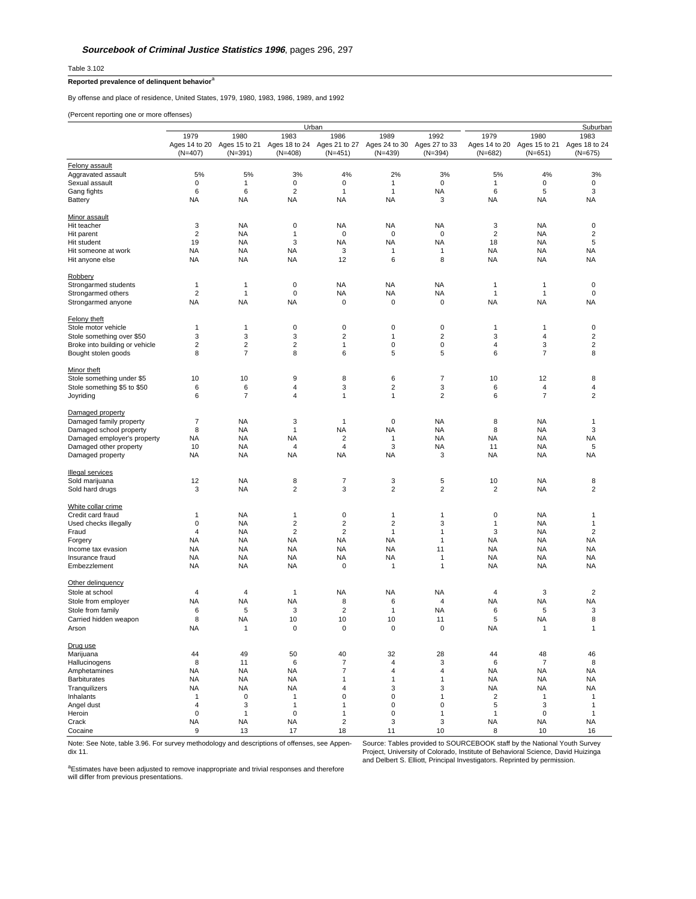Table 3.102

## **Reported prevalence of delinquent behavior**<sup>a</sup>

By offense and place of residence, United States, 1979, 1980, 1983, 1986, 1989, and 1992

(Percent reporting one or more offenses)

| 1980<br>1983<br>1980<br>1983<br>1979<br>1986<br>1989<br>1992<br>1979<br>Ages 14 to 20 Ages 15 to 21<br>Ages 18 to 24 Ages 21 to 27<br>Ages 24 to 30<br>Ages 27 to 33<br>Ages 14 to 20 Ages 15 to 21<br>Ages 18 to 24<br>$(N=391)$<br>$(N=408)$<br>$(N=451)$<br>$(N=439)$<br>$(N=394)$<br>$(N=651)$<br>$(N=675)$<br>$(N=407)$<br>$(N=682)$<br>Felony assault<br>Aggravated assault<br>5%<br>5%<br>3%<br>4%<br>2%<br>3%<br>5%<br>4%<br>3%<br>0<br>1<br>$\mathbf 0$<br>$\mathbf 0$<br>0<br>$\mathbf 0$<br>$\mathbf 0$<br>Sexual assault<br>$\mathbf{1}$<br>$\mathbf{1}$<br>2<br>Gang fights<br>6<br>6<br>1<br>NA<br>6<br>5<br>3<br>1<br><b>NA</b><br><b>NA</b><br><b>NA</b><br>3<br><b>NA</b><br><b>NA</b><br>NA<br><b>NA</b><br>NA<br>Minor assault<br><b>NA</b><br>Hit teacher<br>3<br><b>NA</b><br>0<br><b>NA</b><br>NA<br>3<br>NA<br>0<br>$\overline{2}$<br><b>NA</b><br>$\mathbf{1}$<br>$\mathbf 0$<br>$\pmb{0}$<br>0<br>$\overline{\mathbf{c}}$<br><b>NA</b><br>$\overline{\mathbf{c}}$<br>Hit parent<br>19<br>3<br>5<br><b>NA</b><br><b>NA</b><br><b>NA</b><br>NA<br>18<br>NA<br>Hit student<br><b>NA</b><br>3<br><b>NA</b><br><b>NA</b><br>NA<br>NA<br>$\mathbf{1}$<br>1<br>NA<br>Hit someone at work<br>ΝA<br><b>NA</b><br><b>NA</b><br>12<br>6<br>8<br><b>NA</b><br>NA<br>NA<br>Hit anyone else<br>$\pmb{0}$<br><b>NA</b><br><b>NA</b><br>$\mathbf 0$<br>$\mathbf{1}$<br>$\mathbf{1}$<br>NA<br>$\mathbf{1}$<br>1<br>$\overline{2}$<br><b>NA</b><br><b>NA</b><br>$\mathbf 0$<br>$\mathbf{1}$<br>0<br>NA<br>$\mathbf{1}$<br>$\mathbf{1}$<br><b>NA</b><br>$\mathbf 0$<br>$\pmb{0}$<br>0<br><b>NA</b><br><b>NA</b><br>NA<br>NA<br>NA<br><b>Felony theft</b><br>$\mathbf 0$<br>Stole motor vehicle<br>1<br>0<br>0<br>0<br>$\mathbf{1}$<br>0<br>1<br>1<br>3<br>3<br>3<br>$\overline{2}$<br>$\overline{\mathbf{c}}$<br>3<br>$\overline{4}$<br>$\overline{\mathbf{c}}$<br>Stole something over \$50<br>$\mathbf{1}$<br>$\overline{\mathbf{c}}$<br>$\overline{\mathbf{c}}$<br>2<br>$\pmb{0}$<br>3<br>$\overline{\mathbf{c}}$<br>Broke into building or vehicle<br>1<br>0<br>4<br>$\overline{7}$<br>8<br>6<br>5<br>5<br>6<br>$\overline{7}$<br>8<br>8<br>Minor theft<br>9<br>8<br>6<br>7<br>12<br>10<br>10<br>10<br>8<br>Stole something under \$5<br>6<br>6<br>3<br>$\overline{\mathbf{c}}$<br>3<br>6<br>$\overline{4}$<br>4<br>Stole something \$5 to \$50<br>4<br>$\overline{7}$<br>$\overline{\mathbf{c}}$<br>7<br>$\overline{\mathbf{c}}$<br>Joyriding<br>6<br>4<br>1<br>1<br>6<br>7<br>3<br>$\pmb{0}$<br><b>NA</b><br><b>NA</b><br><b>NA</b><br>8<br>1<br>$\mathbf{1}$<br><b>NA</b><br><b>NA</b><br>3<br>8<br><b>NA</b><br>$\mathbf{1}$<br>NA<br>8<br>NA<br><b>NA</b><br>$\overline{2}$<br><b>NA</b><br><b>NA</b><br>NA<br><b>NA</b><br>$\mathbf{1}$<br><b>NA</b><br>NA<br>$\overline{4}$<br>3<br>Damaged other property<br>10<br><b>NA</b><br>$\overline{4}$<br>NA<br>11<br>NA<br>5<br><b>NA</b><br><b>NA</b><br><b>NA</b><br>3<br><b>NA</b><br>NA<br><b>NA</b><br>NA<br><b>NA</b><br><b>Illegal services</b><br>8<br>$\overline{7}$<br>3<br>5<br>12<br><b>NA</b><br>10<br>NA<br>8<br>Sold marijuana<br><b>NA</b><br>$\overline{c}$<br>3<br>$\overline{2}$<br>$\overline{\mathbf{c}}$<br>$\overline{2}$<br><b>NA</b><br>$\overline{\mathbf{c}}$<br>3<br>Sold hard drugs<br>Credit card fraud<br><b>NA</b><br>1<br>0<br>1<br>0<br>NA<br>1<br>1<br>1<br>0<br><b>NA</b><br>$\overline{2}$<br>$\overline{2}$<br>$\overline{2}$<br>3<br><b>NA</b><br>$\mathbf{1}$<br>Used checks illegally<br>1<br>2<br>$\overline{\mathbf{c}}$<br>$\overline{\mathbf{c}}$<br>$\overline{4}$<br><b>NA</b><br>$\mathbf{1}$<br>1<br>3<br>NA<br>Fraud<br><b>NA</b><br><b>NA</b><br><b>NA</b><br>NA<br><b>NA</b><br>NA<br>1<br>NA<br><b>NA</b><br>Forgery<br>NA<br><b>NA</b><br><b>NA</b><br><b>NA</b><br><b>NA</b><br>11<br><b>NA</b><br>NA<br>NA<br>Income tax evasion<br><b>NA</b><br><b>NA</b><br><b>NA</b><br><b>NA</b><br><b>NA</b><br><b>NA</b><br><b>NA</b><br>NA<br>1<br>NA<br><b>NA</b><br><b>NA</b><br>0<br>$\mathbf{1}$<br>1<br><b>NA</b><br><b>NA</b><br><b>NA</b><br>Other delinquency<br>$\overline{\mathbf{c}}$<br><b>NA</b><br><b>NA</b><br>3<br>Stole at school<br>4<br>4<br>1<br>NA<br>4<br>Stole from employer<br>NA<br><b>NA</b><br><b>NA</b><br>8<br>6<br>4<br><b>NA</b><br>NA<br>NA<br>5<br>3<br>$\overline{\mathbf{c}}$<br>5<br>3<br>6<br>$\mathbf{1}$<br>NA<br>6<br>Stole from family<br>10<br>10<br>5<br><b>NA</b><br>8<br>8<br><b>NA</b><br>10<br>11<br>Carried hidden weapon<br>ΝA<br>$\Omega$<br>$\Omega$<br>$\Omega$<br>$\Omega$<br><b>NA</b><br>1<br>Arson<br>1<br>1<br>44<br>49<br>50<br>40<br>32<br>28<br>44<br>48<br>46<br>8<br>$\boldsymbol{7}$<br>6<br>$\overline{7}$<br>8<br>11<br>6<br>4<br>3<br><b>NA</b><br>7<br>$\overline{4}$<br><b>NA</b><br>ΝA<br>NA<br>4<br><b>NA</b><br>NA<br><b>NA</b><br><b>NA</b><br><b>NA</b><br>$\mathbf{1}$<br><b>NA</b><br><b>NA</b><br><b>NA</b><br>1<br>1<br>Tranquilizers<br><b>NA</b><br><b>NA</b><br>3<br><b>NA</b><br>ΝA<br>4<br>3<br>NA<br>NA<br>$\pmb{0}$<br>$\mathsf 0$<br>$\overline{\mathbf{c}}$<br>Inhalants<br>$\mathbf{1}$<br>0<br>$\mathbf{1}$<br>1<br>$\mathbf{1}$<br>$\mathbf{1}$<br>Angel dust<br>3<br>$\mathsf 0$<br>5<br>3<br>4<br>$\mathbf{1}$<br>$\mathbf{1}$<br>0<br>$\mathbf{1}$<br>$\mathbf 0$<br>0<br>$\mathbf{1}$<br>$\pmb{0}$<br>$\mathbf 0$<br>Heroin<br>$\mathbf{1}$<br>1<br>$\mathbf{1}$<br>$\mathbf{1}$<br><b>NA</b><br><b>NA</b><br>$\overline{2}$<br>3<br><b>NA</b><br>Crack<br><b>NA</b><br>3<br>NA<br>NA<br>13<br>18<br>11<br>8<br>10<br>9<br>17<br>10<br>16 |                             |  | Urban | Suburban |  |  |  |
|--------------------------------------------------------------------------------------------------------------------------------------------------------------------------------------------------------------------------------------------------------------------------------------------------------------------------------------------------------------------------------------------------------------------------------------------------------------------------------------------------------------------------------------------------------------------------------------------------------------------------------------------------------------------------------------------------------------------------------------------------------------------------------------------------------------------------------------------------------------------------------------------------------------------------------------------------------------------------------------------------------------------------------------------------------------------------------------------------------------------------------------------------------------------------------------------------------------------------------------------------------------------------------------------------------------------------------------------------------------------------------------------------------------------------------------------------------------------------------------------------------------------------------------------------------------------------------------------------------------------------------------------------------------------------------------------------------------------------------------------------------------------------------------------------------------------------------------------------------------------------------------------------------------------------------------------------------------------------------------------------------------------------------------------------------------------------------------------------------------------------------------------------------------------------------------------------------------------------------------------------------------------------------------------------------------------------------------------------------------------------------------------------------------------------------------------------------------------------------------------------------------------------------------------------------------------------------------------------------------------------------------------------------------------------------------------------------------------------------------------------------------------------------------------------------------------------------------------------------------------------------------------------------------------------------------------------------------------------------------------------------------------------------------------------------------------------------------------------------------------------------------------------------------------------------------------------------------------------------------------------------------------------------------------------------------------------------------------------------------------------------------------------------------------------------------------------------------------------------------------------------------------------------------------------------------------------------------------------------------------------------------------------------------------------------------------------------------------------------------------------------------------------------------------------------------------------------------------------------------------------------------------------------------------------------------------------------------------------------------------------------------------------------------------------------------------------------------------------------------------------------------------------------------------------------------------------------------------------------------------------------------------------------------------------------------------------------------------------------------------------------------------------------------------------------------------------------------------------------------------------------------------------------------------------------------------------------------------------------------------------------------------------------------------------------------------------------------------------------------------------------------------------------------------------------------------------------------------------------------------------------------------------------------------------------------------------------------------------------------------------------------------------------------------------------------------------------------------------------------------------------------------------------------------------------------------------------------------------------------------------------------------------------------------------------------------------------------------------------------------------------------------------------------------------------------------------------------------------------------------------------------------------------------------------|-----------------------------|--|-------|----------|--|--|--|
|                                                                                                                                                                                                                                                                                                                                                                                                                                                                                                                                                                                                                                                                                                                                                                                                                                                                                                                                                                                                                                                                                                                                                                                                                                                                                                                                                                                                                                                                                                                                                                                                                                                                                                                                                                                                                                                                                                                                                                                                                                                                                                                                                                                                                                                                                                                                                                                                                                                                                                                                                                                                                                                                                                                                                                                                                                                                                                                                                                                                                                                                                                                                                                                                                                                                                                                                                                                                                                                                                                                                                                                                                                                                                                                                                                                                                                                                                                                                                                                                                                                                                                                                                                                                                                                                                                                                                                                                                                                                                                                                                                                                                                                                                                                                                                                                                                                                                                                                                                                                                                                                                                                                                                                                                                                                                                                                                                                                                                                                                                                                                  |                             |  |       |          |  |  |  |
|                                                                                                                                                                                                                                                                                                                                                                                                                                                                                                                                                                                                                                                                                                                                                                                                                                                                                                                                                                                                                                                                                                                                                                                                                                                                                                                                                                                                                                                                                                                                                                                                                                                                                                                                                                                                                                                                                                                                                                                                                                                                                                                                                                                                                                                                                                                                                                                                                                                                                                                                                                                                                                                                                                                                                                                                                                                                                                                                                                                                                                                                                                                                                                                                                                                                                                                                                                                                                                                                                                                                                                                                                                                                                                                                                                                                                                                                                                                                                                                                                                                                                                                                                                                                                                                                                                                                                                                                                                                                                                                                                                                                                                                                                                                                                                                                                                                                                                                                                                                                                                                                                                                                                                                                                                                                                                                                                                                                                                                                                                                                                  |                             |  |       |          |  |  |  |
|                                                                                                                                                                                                                                                                                                                                                                                                                                                                                                                                                                                                                                                                                                                                                                                                                                                                                                                                                                                                                                                                                                                                                                                                                                                                                                                                                                                                                                                                                                                                                                                                                                                                                                                                                                                                                                                                                                                                                                                                                                                                                                                                                                                                                                                                                                                                                                                                                                                                                                                                                                                                                                                                                                                                                                                                                                                                                                                                                                                                                                                                                                                                                                                                                                                                                                                                                                                                                                                                                                                                                                                                                                                                                                                                                                                                                                                                                                                                                                                                                                                                                                                                                                                                                                                                                                                                                                                                                                                                                                                                                                                                                                                                                                                                                                                                                                                                                                                                                                                                                                                                                                                                                                                                                                                                                                                                                                                                                                                                                                                                                  |                             |  |       |          |  |  |  |
|                                                                                                                                                                                                                                                                                                                                                                                                                                                                                                                                                                                                                                                                                                                                                                                                                                                                                                                                                                                                                                                                                                                                                                                                                                                                                                                                                                                                                                                                                                                                                                                                                                                                                                                                                                                                                                                                                                                                                                                                                                                                                                                                                                                                                                                                                                                                                                                                                                                                                                                                                                                                                                                                                                                                                                                                                                                                                                                                                                                                                                                                                                                                                                                                                                                                                                                                                                                                                                                                                                                                                                                                                                                                                                                                                                                                                                                                                                                                                                                                                                                                                                                                                                                                                                                                                                                                                                                                                                                                                                                                                                                                                                                                                                                                                                                                                                                                                                                                                                                                                                                                                                                                                                                                                                                                                                                                                                                                                                                                                                                                                  |                             |  |       |          |  |  |  |
|                                                                                                                                                                                                                                                                                                                                                                                                                                                                                                                                                                                                                                                                                                                                                                                                                                                                                                                                                                                                                                                                                                                                                                                                                                                                                                                                                                                                                                                                                                                                                                                                                                                                                                                                                                                                                                                                                                                                                                                                                                                                                                                                                                                                                                                                                                                                                                                                                                                                                                                                                                                                                                                                                                                                                                                                                                                                                                                                                                                                                                                                                                                                                                                                                                                                                                                                                                                                                                                                                                                                                                                                                                                                                                                                                                                                                                                                                                                                                                                                                                                                                                                                                                                                                                                                                                                                                                                                                                                                                                                                                                                                                                                                                                                                                                                                                                                                                                                                                                                                                                                                                                                                                                                                                                                                                                                                                                                                                                                                                                                                                  |                             |  |       |          |  |  |  |
|                                                                                                                                                                                                                                                                                                                                                                                                                                                                                                                                                                                                                                                                                                                                                                                                                                                                                                                                                                                                                                                                                                                                                                                                                                                                                                                                                                                                                                                                                                                                                                                                                                                                                                                                                                                                                                                                                                                                                                                                                                                                                                                                                                                                                                                                                                                                                                                                                                                                                                                                                                                                                                                                                                                                                                                                                                                                                                                                                                                                                                                                                                                                                                                                                                                                                                                                                                                                                                                                                                                                                                                                                                                                                                                                                                                                                                                                                                                                                                                                                                                                                                                                                                                                                                                                                                                                                                                                                                                                                                                                                                                                                                                                                                                                                                                                                                                                                                                                                                                                                                                                                                                                                                                                                                                                                                                                                                                                                                                                                                                                                  |                             |  |       |          |  |  |  |
|                                                                                                                                                                                                                                                                                                                                                                                                                                                                                                                                                                                                                                                                                                                                                                                                                                                                                                                                                                                                                                                                                                                                                                                                                                                                                                                                                                                                                                                                                                                                                                                                                                                                                                                                                                                                                                                                                                                                                                                                                                                                                                                                                                                                                                                                                                                                                                                                                                                                                                                                                                                                                                                                                                                                                                                                                                                                                                                                                                                                                                                                                                                                                                                                                                                                                                                                                                                                                                                                                                                                                                                                                                                                                                                                                                                                                                                                                                                                                                                                                                                                                                                                                                                                                                                                                                                                                                                                                                                                                                                                                                                                                                                                                                                                                                                                                                                                                                                                                                                                                                                                                                                                                                                                                                                                                                                                                                                                                                                                                                                                                  |                             |  |       |          |  |  |  |
|                                                                                                                                                                                                                                                                                                                                                                                                                                                                                                                                                                                                                                                                                                                                                                                                                                                                                                                                                                                                                                                                                                                                                                                                                                                                                                                                                                                                                                                                                                                                                                                                                                                                                                                                                                                                                                                                                                                                                                                                                                                                                                                                                                                                                                                                                                                                                                                                                                                                                                                                                                                                                                                                                                                                                                                                                                                                                                                                                                                                                                                                                                                                                                                                                                                                                                                                                                                                                                                                                                                                                                                                                                                                                                                                                                                                                                                                                                                                                                                                                                                                                                                                                                                                                                                                                                                                                                                                                                                                                                                                                                                                                                                                                                                                                                                                                                                                                                                                                                                                                                                                                                                                                                                                                                                                                                                                                                                                                                                                                                                                                  | <b>Battery</b>              |  |       |          |  |  |  |
|                                                                                                                                                                                                                                                                                                                                                                                                                                                                                                                                                                                                                                                                                                                                                                                                                                                                                                                                                                                                                                                                                                                                                                                                                                                                                                                                                                                                                                                                                                                                                                                                                                                                                                                                                                                                                                                                                                                                                                                                                                                                                                                                                                                                                                                                                                                                                                                                                                                                                                                                                                                                                                                                                                                                                                                                                                                                                                                                                                                                                                                                                                                                                                                                                                                                                                                                                                                                                                                                                                                                                                                                                                                                                                                                                                                                                                                                                                                                                                                                                                                                                                                                                                                                                                                                                                                                                                                                                                                                                                                                                                                                                                                                                                                                                                                                                                                                                                                                                                                                                                                                                                                                                                                                                                                                                                                                                                                                                                                                                                                                                  |                             |  |       |          |  |  |  |
|                                                                                                                                                                                                                                                                                                                                                                                                                                                                                                                                                                                                                                                                                                                                                                                                                                                                                                                                                                                                                                                                                                                                                                                                                                                                                                                                                                                                                                                                                                                                                                                                                                                                                                                                                                                                                                                                                                                                                                                                                                                                                                                                                                                                                                                                                                                                                                                                                                                                                                                                                                                                                                                                                                                                                                                                                                                                                                                                                                                                                                                                                                                                                                                                                                                                                                                                                                                                                                                                                                                                                                                                                                                                                                                                                                                                                                                                                                                                                                                                                                                                                                                                                                                                                                                                                                                                                                                                                                                                                                                                                                                                                                                                                                                                                                                                                                                                                                                                                                                                                                                                                                                                                                                                                                                                                                                                                                                                                                                                                                                                                  |                             |  |       |          |  |  |  |
|                                                                                                                                                                                                                                                                                                                                                                                                                                                                                                                                                                                                                                                                                                                                                                                                                                                                                                                                                                                                                                                                                                                                                                                                                                                                                                                                                                                                                                                                                                                                                                                                                                                                                                                                                                                                                                                                                                                                                                                                                                                                                                                                                                                                                                                                                                                                                                                                                                                                                                                                                                                                                                                                                                                                                                                                                                                                                                                                                                                                                                                                                                                                                                                                                                                                                                                                                                                                                                                                                                                                                                                                                                                                                                                                                                                                                                                                                                                                                                                                                                                                                                                                                                                                                                                                                                                                                                                                                                                                                                                                                                                                                                                                                                                                                                                                                                                                                                                                                                                                                                                                                                                                                                                                                                                                                                                                                                                                                                                                                                                                                  |                             |  |       |          |  |  |  |
|                                                                                                                                                                                                                                                                                                                                                                                                                                                                                                                                                                                                                                                                                                                                                                                                                                                                                                                                                                                                                                                                                                                                                                                                                                                                                                                                                                                                                                                                                                                                                                                                                                                                                                                                                                                                                                                                                                                                                                                                                                                                                                                                                                                                                                                                                                                                                                                                                                                                                                                                                                                                                                                                                                                                                                                                                                                                                                                                                                                                                                                                                                                                                                                                                                                                                                                                                                                                                                                                                                                                                                                                                                                                                                                                                                                                                                                                                                                                                                                                                                                                                                                                                                                                                                                                                                                                                                                                                                                                                                                                                                                                                                                                                                                                                                                                                                                                                                                                                                                                                                                                                                                                                                                                                                                                                                                                                                                                                                                                                                                                                  |                             |  |       |          |  |  |  |
|                                                                                                                                                                                                                                                                                                                                                                                                                                                                                                                                                                                                                                                                                                                                                                                                                                                                                                                                                                                                                                                                                                                                                                                                                                                                                                                                                                                                                                                                                                                                                                                                                                                                                                                                                                                                                                                                                                                                                                                                                                                                                                                                                                                                                                                                                                                                                                                                                                                                                                                                                                                                                                                                                                                                                                                                                                                                                                                                                                                                                                                                                                                                                                                                                                                                                                                                                                                                                                                                                                                                                                                                                                                                                                                                                                                                                                                                                                                                                                                                                                                                                                                                                                                                                                                                                                                                                                                                                                                                                                                                                                                                                                                                                                                                                                                                                                                                                                                                                                                                                                                                                                                                                                                                                                                                                                                                                                                                                                                                                                                                                  |                             |  |       |          |  |  |  |
|                                                                                                                                                                                                                                                                                                                                                                                                                                                                                                                                                                                                                                                                                                                                                                                                                                                                                                                                                                                                                                                                                                                                                                                                                                                                                                                                                                                                                                                                                                                                                                                                                                                                                                                                                                                                                                                                                                                                                                                                                                                                                                                                                                                                                                                                                                                                                                                                                                                                                                                                                                                                                                                                                                                                                                                                                                                                                                                                                                                                                                                                                                                                                                                                                                                                                                                                                                                                                                                                                                                                                                                                                                                                                                                                                                                                                                                                                                                                                                                                                                                                                                                                                                                                                                                                                                                                                                                                                                                                                                                                                                                                                                                                                                                                                                                                                                                                                                                                                                                                                                                                                                                                                                                                                                                                                                                                                                                                                                                                                                                                                  |                             |  |       |          |  |  |  |
|                                                                                                                                                                                                                                                                                                                                                                                                                                                                                                                                                                                                                                                                                                                                                                                                                                                                                                                                                                                                                                                                                                                                                                                                                                                                                                                                                                                                                                                                                                                                                                                                                                                                                                                                                                                                                                                                                                                                                                                                                                                                                                                                                                                                                                                                                                                                                                                                                                                                                                                                                                                                                                                                                                                                                                                                                                                                                                                                                                                                                                                                                                                                                                                                                                                                                                                                                                                                                                                                                                                                                                                                                                                                                                                                                                                                                                                                                                                                                                                                                                                                                                                                                                                                                                                                                                                                                                                                                                                                                                                                                                                                                                                                                                                                                                                                                                                                                                                                                                                                                                                                                                                                                                                                                                                                                                                                                                                                                                                                                                                                                  |                             |  |       |          |  |  |  |
|                                                                                                                                                                                                                                                                                                                                                                                                                                                                                                                                                                                                                                                                                                                                                                                                                                                                                                                                                                                                                                                                                                                                                                                                                                                                                                                                                                                                                                                                                                                                                                                                                                                                                                                                                                                                                                                                                                                                                                                                                                                                                                                                                                                                                                                                                                                                                                                                                                                                                                                                                                                                                                                                                                                                                                                                                                                                                                                                                                                                                                                                                                                                                                                                                                                                                                                                                                                                                                                                                                                                                                                                                                                                                                                                                                                                                                                                                                                                                                                                                                                                                                                                                                                                                                                                                                                                                                                                                                                                                                                                                                                                                                                                                                                                                                                                                                                                                                                                                                                                                                                                                                                                                                                                                                                                                                                                                                                                                                                                                                                                                  | <b>Robbery</b>              |  |       |          |  |  |  |
|                                                                                                                                                                                                                                                                                                                                                                                                                                                                                                                                                                                                                                                                                                                                                                                                                                                                                                                                                                                                                                                                                                                                                                                                                                                                                                                                                                                                                                                                                                                                                                                                                                                                                                                                                                                                                                                                                                                                                                                                                                                                                                                                                                                                                                                                                                                                                                                                                                                                                                                                                                                                                                                                                                                                                                                                                                                                                                                                                                                                                                                                                                                                                                                                                                                                                                                                                                                                                                                                                                                                                                                                                                                                                                                                                                                                                                                                                                                                                                                                                                                                                                                                                                                                                                                                                                                                                                                                                                                                                                                                                                                                                                                                                                                                                                                                                                                                                                                                                                                                                                                                                                                                                                                                                                                                                                                                                                                                                                                                                                                                                  | Strongarmed students        |  |       |          |  |  |  |
|                                                                                                                                                                                                                                                                                                                                                                                                                                                                                                                                                                                                                                                                                                                                                                                                                                                                                                                                                                                                                                                                                                                                                                                                                                                                                                                                                                                                                                                                                                                                                                                                                                                                                                                                                                                                                                                                                                                                                                                                                                                                                                                                                                                                                                                                                                                                                                                                                                                                                                                                                                                                                                                                                                                                                                                                                                                                                                                                                                                                                                                                                                                                                                                                                                                                                                                                                                                                                                                                                                                                                                                                                                                                                                                                                                                                                                                                                                                                                                                                                                                                                                                                                                                                                                                                                                                                                                                                                                                                                                                                                                                                                                                                                                                                                                                                                                                                                                                                                                                                                                                                                                                                                                                                                                                                                                                                                                                                                                                                                                                                                  | Strongarmed others          |  |       |          |  |  |  |
|                                                                                                                                                                                                                                                                                                                                                                                                                                                                                                                                                                                                                                                                                                                                                                                                                                                                                                                                                                                                                                                                                                                                                                                                                                                                                                                                                                                                                                                                                                                                                                                                                                                                                                                                                                                                                                                                                                                                                                                                                                                                                                                                                                                                                                                                                                                                                                                                                                                                                                                                                                                                                                                                                                                                                                                                                                                                                                                                                                                                                                                                                                                                                                                                                                                                                                                                                                                                                                                                                                                                                                                                                                                                                                                                                                                                                                                                                                                                                                                                                                                                                                                                                                                                                                                                                                                                                                                                                                                                                                                                                                                                                                                                                                                                                                                                                                                                                                                                                                                                                                                                                                                                                                                                                                                                                                                                                                                                                                                                                                                                                  | Strongarmed anyone          |  |       |          |  |  |  |
|                                                                                                                                                                                                                                                                                                                                                                                                                                                                                                                                                                                                                                                                                                                                                                                                                                                                                                                                                                                                                                                                                                                                                                                                                                                                                                                                                                                                                                                                                                                                                                                                                                                                                                                                                                                                                                                                                                                                                                                                                                                                                                                                                                                                                                                                                                                                                                                                                                                                                                                                                                                                                                                                                                                                                                                                                                                                                                                                                                                                                                                                                                                                                                                                                                                                                                                                                                                                                                                                                                                                                                                                                                                                                                                                                                                                                                                                                                                                                                                                                                                                                                                                                                                                                                                                                                                                                                                                                                                                                                                                                                                                                                                                                                                                                                                                                                                                                                                                                                                                                                                                                                                                                                                                                                                                                                                                                                                                                                                                                                                                                  |                             |  |       |          |  |  |  |
|                                                                                                                                                                                                                                                                                                                                                                                                                                                                                                                                                                                                                                                                                                                                                                                                                                                                                                                                                                                                                                                                                                                                                                                                                                                                                                                                                                                                                                                                                                                                                                                                                                                                                                                                                                                                                                                                                                                                                                                                                                                                                                                                                                                                                                                                                                                                                                                                                                                                                                                                                                                                                                                                                                                                                                                                                                                                                                                                                                                                                                                                                                                                                                                                                                                                                                                                                                                                                                                                                                                                                                                                                                                                                                                                                                                                                                                                                                                                                                                                                                                                                                                                                                                                                                                                                                                                                                                                                                                                                                                                                                                                                                                                                                                                                                                                                                                                                                                                                                                                                                                                                                                                                                                                                                                                                                                                                                                                                                                                                                                                                  |                             |  |       |          |  |  |  |
|                                                                                                                                                                                                                                                                                                                                                                                                                                                                                                                                                                                                                                                                                                                                                                                                                                                                                                                                                                                                                                                                                                                                                                                                                                                                                                                                                                                                                                                                                                                                                                                                                                                                                                                                                                                                                                                                                                                                                                                                                                                                                                                                                                                                                                                                                                                                                                                                                                                                                                                                                                                                                                                                                                                                                                                                                                                                                                                                                                                                                                                                                                                                                                                                                                                                                                                                                                                                                                                                                                                                                                                                                                                                                                                                                                                                                                                                                                                                                                                                                                                                                                                                                                                                                                                                                                                                                                                                                                                                                                                                                                                                                                                                                                                                                                                                                                                                                                                                                                                                                                                                                                                                                                                                                                                                                                                                                                                                                                                                                                                                                  |                             |  |       |          |  |  |  |
|                                                                                                                                                                                                                                                                                                                                                                                                                                                                                                                                                                                                                                                                                                                                                                                                                                                                                                                                                                                                                                                                                                                                                                                                                                                                                                                                                                                                                                                                                                                                                                                                                                                                                                                                                                                                                                                                                                                                                                                                                                                                                                                                                                                                                                                                                                                                                                                                                                                                                                                                                                                                                                                                                                                                                                                                                                                                                                                                                                                                                                                                                                                                                                                                                                                                                                                                                                                                                                                                                                                                                                                                                                                                                                                                                                                                                                                                                                                                                                                                                                                                                                                                                                                                                                                                                                                                                                                                                                                                                                                                                                                                                                                                                                                                                                                                                                                                                                                                                                                                                                                                                                                                                                                                                                                                                                                                                                                                                                                                                                                                                  |                             |  |       |          |  |  |  |
|                                                                                                                                                                                                                                                                                                                                                                                                                                                                                                                                                                                                                                                                                                                                                                                                                                                                                                                                                                                                                                                                                                                                                                                                                                                                                                                                                                                                                                                                                                                                                                                                                                                                                                                                                                                                                                                                                                                                                                                                                                                                                                                                                                                                                                                                                                                                                                                                                                                                                                                                                                                                                                                                                                                                                                                                                                                                                                                                                                                                                                                                                                                                                                                                                                                                                                                                                                                                                                                                                                                                                                                                                                                                                                                                                                                                                                                                                                                                                                                                                                                                                                                                                                                                                                                                                                                                                                                                                                                                                                                                                                                                                                                                                                                                                                                                                                                                                                                                                                                                                                                                                                                                                                                                                                                                                                                                                                                                                                                                                                                                                  | Bought stolen goods         |  |       |          |  |  |  |
|                                                                                                                                                                                                                                                                                                                                                                                                                                                                                                                                                                                                                                                                                                                                                                                                                                                                                                                                                                                                                                                                                                                                                                                                                                                                                                                                                                                                                                                                                                                                                                                                                                                                                                                                                                                                                                                                                                                                                                                                                                                                                                                                                                                                                                                                                                                                                                                                                                                                                                                                                                                                                                                                                                                                                                                                                                                                                                                                                                                                                                                                                                                                                                                                                                                                                                                                                                                                                                                                                                                                                                                                                                                                                                                                                                                                                                                                                                                                                                                                                                                                                                                                                                                                                                                                                                                                                                                                                                                                                                                                                                                                                                                                                                                                                                                                                                                                                                                                                                                                                                                                                                                                                                                                                                                                                                                                                                                                                                                                                                                                                  |                             |  |       |          |  |  |  |
|                                                                                                                                                                                                                                                                                                                                                                                                                                                                                                                                                                                                                                                                                                                                                                                                                                                                                                                                                                                                                                                                                                                                                                                                                                                                                                                                                                                                                                                                                                                                                                                                                                                                                                                                                                                                                                                                                                                                                                                                                                                                                                                                                                                                                                                                                                                                                                                                                                                                                                                                                                                                                                                                                                                                                                                                                                                                                                                                                                                                                                                                                                                                                                                                                                                                                                                                                                                                                                                                                                                                                                                                                                                                                                                                                                                                                                                                                                                                                                                                                                                                                                                                                                                                                                                                                                                                                                                                                                                                                                                                                                                                                                                                                                                                                                                                                                                                                                                                                                                                                                                                                                                                                                                                                                                                                                                                                                                                                                                                                                                                                  |                             |  |       |          |  |  |  |
|                                                                                                                                                                                                                                                                                                                                                                                                                                                                                                                                                                                                                                                                                                                                                                                                                                                                                                                                                                                                                                                                                                                                                                                                                                                                                                                                                                                                                                                                                                                                                                                                                                                                                                                                                                                                                                                                                                                                                                                                                                                                                                                                                                                                                                                                                                                                                                                                                                                                                                                                                                                                                                                                                                                                                                                                                                                                                                                                                                                                                                                                                                                                                                                                                                                                                                                                                                                                                                                                                                                                                                                                                                                                                                                                                                                                                                                                                                                                                                                                                                                                                                                                                                                                                                                                                                                                                                                                                                                                                                                                                                                                                                                                                                                                                                                                                                                                                                                                                                                                                                                                                                                                                                                                                                                                                                                                                                                                                                                                                                                                                  |                             |  |       |          |  |  |  |
|                                                                                                                                                                                                                                                                                                                                                                                                                                                                                                                                                                                                                                                                                                                                                                                                                                                                                                                                                                                                                                                                                                                                                                                                                                                                                                                                                                                                                                                                                                                                                                                                                                                                                                                                                                                                                                                                                                                                                                                                                                                                                                                                                                                                                                                                                                                                                                                                                                                                                                                                                                                                                                                                                                                                                                                                                                                                                                                                                                                                                                                                                                                                                                                                                                                                                                                                                                                                                                                                                                                                                                                                                                                                                                                                                                                                                                                                                                                                                                                                                                                                                                                                                                                                                                                                                                                                                                                                                                                                                                                                                                                                                                                                                                                                                                                                                                                                                                                                                                                                                                                                                                                                                                                                                                                                                                                                                                                                                                                                                                                                                  |                             |  |       |          |  |  |  |
|                                                                                                                                                                                                                                                                                                                                                                                                                                                                                                                                                                                                                                                                                                                                                                                                                                                                                                                                                                                                                                                                                                                                                                                                                                                                                                                                                                                                                                                                                                                                                                                                                                                                                                                                                                                                                                                                                                                                                                                                                                                                                                                                                                                                                                                                                                                                                                                                                                                                                                                                                                                                                                                                                                                                                                                                                                                                                                                                                                                                                                                                                                                                                                                                                                                                                                                                                                                                                                                                                                                                                                                                                                                                                                                                                                                                                                                                                                                                                                                                                                                                                                                                                                                                                                                                                                                                                                                                                                                                                                                                                                                                                                                                                                                                                                                                                                                                                                                                                                                                                                                                                                                                                                                                                                                                                                                                                                                                                                                                                                                                                  |                             |  |       |          |  |  |  |
|                                                                                                                                                                                                                                                                                                                                                                                                                                                                                                                                                                                                                                                                                                                                                                                                                                                                                                                                                                                                                                                                                                                                                                                                                                                                                                                                                                                                                                                                                                                                                                                                                                                                                                                                                                                                                                                                                                                                                                                                                                                                                                                                                                                                                                                                                                                                                                                                                                                                                                                                                                                                                                                                                                                                                                                                                                                                                                                                                                                                                                                                                                                                                                                                                                                                                                                                                                                                                                                                                                                                                                                                                                                                                                                                                                                                                                                                                                                                                                                                                                                                                                                                                                                                                                                                                                                                                                                                                                                                                                                                                                                                                                                                                                                                                                                                                                                                                                                                                                                                                                                                                                                                                                                                                                                                                                                                                                                                                                                                                                                                                  | Damaged property            |  |       |          |  |  |  |
|                                                                                                                                                                                                                                                                                                                                                                                                                                                                                                                                                                                                                                                                                                                                                                                                                                                                                                                                                                                                                                                                                                                                                                                                                                                                                                                                                                                                                                                                                                                                                                                                                                                                                                                                                                                                                                                                                                                                                                                                                                                                                                                                                                                                                                                                                                                                                                                                                                                                                                                                                                                                                                                                                                                                                                                                                                                                                                                                                                                                                                                                                                                                                                                                                                                                                                                                                                                                                                                                                                                                                                                                                                                                                                                                                                                                                                                                                                                                                                                                                                                                                                                                                                                                                                                                                                                                                                                                                                                                                                                                                                                                                                                                                                                                                                                                                                                                                                                                                                                                                                                                                                                                                                                                                                                                                                                                                                                                                                                                                                                                                  | Damaged family property     |  |       |          |  |  |  |
|                                                                                                                                                                                                                                                                                                                                                                                                                                                                                                                                                                                                                                                                                                                                                                                                                                                                                                                                                                                                                                                                                                                                                                                                                                                                                                                                                                                                                                                                                                                                                                                                                                                                                                                                                                                                                                                                                                                                                                                                                                                                                                                                                                                                                                                                                                                                                                                                                                                                                                                                                                                                                                                                                                                                                                                                                                                                                                                                                                                                                                                                                                                                                                                                                                                                                                                                                                                                                                                                                                                                                                                                                                                                                                                                                                                                                                                                                                                                                                                                                                                                                                                                                                                                                                                                                                                                                                                                                                                                                                                                                                                                                                                                                                                                                                                                                                                                                                                                                                                                                                                                                                                                                                                                                                                                                                                                                                                                                                                                                                                                                  | Damaged school property     |  |       |          |  |  |  |
|                                                                                                                                                                                                                                                                                                                                                                                                                                                                                                                                                                                                                                                                                                                                                                                                                                                                                                                                                                                                                                                                                                                                                                                                                                                                                                                                                                                                                                                                                                                                                                                                                                                                                                                                                                                                                                                                                                                                                                                                                                                                                                                                                                                                                                                                                                                                                                                                                                                                                                                                                                                                                                                                                                                                                                                                                                                                                                                                                                                                                                                                                                                                                                                                                                                                                                                                                                                                                                                                                                                                                                                                                                                                                                                                                                                                                                                                                                                                                                                                                                                                                                                                                                                                                                                                                                                                                                                                                                                                                                                                                                                                                                                                                                                                                                                                                                                                                                                                                                                                                                                                                                                                                                                                                                                                                                                                                                                                                                                                                                                                                  | Damaged employer's property |  |       |          |  |  |  |
|                                                                                                                                                                                                                                                                                                                                                                                                                                                                                                                                                                                                                                                                                                                                                                                                                                                                                                                                                                                                                                                                                                                                                                                                                                                                                                                                                                                                                                                                                                                                                                                                                                                                                                                                                                                                                                                                                                                                                                                                                                                                                                                                                                                                                                                                                                                                                                                                                                                                                                                                                                                                                                                                                                                                                                                                                                                                                                                                                                                                                                                                                                                                                                                                                                                                                                                                                                                                                                                                                                                                                                                                                                                                                                                                                                                                                                                                                                                                                                                                                                                                                                                                                                                                                                                                                                                                                                                                                                                                                                                                                                                                                                                                                                                                                                                                                                                                                                                                                                                                                                                                                                                                                                                                                                                                                                                                                                                                                                                                                                                                                  |                             |  |       |          |  |  |  |
|                                                                                                                                                                                                                                                                                                                                                                                                                                                                                                                                                                                                                                                                                                                                                                                                                                                                                                                                                                                                                                                                                                                                                                                                                                                                                                                                                                                                                                                                                                                                                                                                                                                                                                                                                                                                                                                                                                                                                                                                                                                                                                                                                                                                                                                                                                                                                                                                                                                                                                                                                                                                                                                                                                                                                                                                                                                                                                                                                                                                                                                                                                                                                                                                                                                                                                                                                                                                                                                                                                                                                                                                                                                                                                                                                                                                                                                                                                                                                                                                                                                                                                                                                                                                                                                                                                                                                                                                                                                                                                                                                                                                                                                                                                                                                                                                                                                                                                                                                                                                                                                                                                                                                                                                                                                                                                                                                                                                                                                                                                                                                  | Damaged property            |  |       |          |  |  |  |
|                                                                                                                                                                                                                                                                                                                                                                                                                                                                                                                                                                                                                                                                                                                                                                                                                                                                                                                                                                                                                                                                                                                                                                                                                                                                                                                                                                                                                                                                                                                                                                                                                                                                                                                                                                                                                                                                                                                                                                                                                                                                                                                                                                                                                                                                                                                                                                                                                                                                                                                                                                                                                                                                                                                                                                                                                                                                                                                                                                                                                                                                                                                                                                                                                                                                                                                                                                                                                                                                                                                                                                                                                                                                                                                                                                                                                                                                                                                                                                                                                                                                                                                                                                                                                                                                                                                                                                                                                                                                                                                                                                                                                                                                                                                                                                                                                                                                                                                                                                                                                                                                                                                                                                                                                                                                                                                                                                                                                                                                                                                                                  |                             |  |       |          |  |  |  |
|                                                                                                                                                                                                                                                                                                                                                                                                                                                                                                                                                                                                                                                                                                                                                                                                                                                                                                                                                                                                                                                                                                                                                                                                                                                                                                                                                                                                                                                                                                                                                                                                                                                                                                                                                                                                                                                                                                                                                                                                                                                                                                                                                                                                                                                                                                                                                                                                                                                                                                                                                                                                                                                                                                                                                                                                                                                                                                                                                                                                                                                                                                                                                                                                                                                                                                                                                                                                                                                                                                                                                                                                                                                                                                                                                                                                                                                                                                                                                                                                                                                                                                                                                                                                                                                                                                                                                                                                                                                                                                                                                                                                                                                                                                                                                                                                                                                                                                                                                                                                                                                                                                                                                                                                                                                                                                                                                                                                                                                                                                                                                  |                             |  |       |          |  |  |  |
|                                                                                                                                                                                                                                                                                                                                                                                                                                                                                                                                                                                                                                                                                                                                                                                                                                                                                                                                                                                                                                                                                                                                                                                                                                                                                                                                                                                                                                                                                                                                                                                                                                                                                                                                                                                                                                                                                                                                                                                                                                                                                                                                                                                                                                                                                                                                                                                                                                                                                                                                                                                                                                                                                                                                                                                                                                                                                                                                                                                                                                                                                                                                                                                                                                                                                                                                                                                                                                                                                                                                                                                                                                                                                                                                                                                                                                                                                                                                                                                                                                                                                                                                                                                                                                                                                                                                                                                                                                                                                                                                                                                                                                                                                                                                                                                                                                                                                                                                                                                                                                                                                                                                                                                                                                                                                                                                                                                                                                                                                                                                                  |                             |  |       |          |  |  |  |
|                                                                                                                                                                                                                                                                                                                                                                                                                                                                                                                                                                                                                                                                                                                                                                                                                                                                                                                                                                                                                                                                                                                                                                                                                                                                                                                                                                                                                                                                                                                                                                                                                                                                                                                                                                                                                                                                                                                                                                                                                                                                                                                                                                                                                                                                                                                                                                                                                                                                                                                                                                                                                                                                                                                                                                                                                                                                                                                                                                                                                                                                                                                                                                                                                                                                                                                                                                                                                                                                                                                                                                                                                                                                                                                                                                                                                                                                                                                                                                                                                                                                                                                                                                                                                                                                                                                                                                                                                                                                                                                                                                                                                                                                                                                                                                                                                                                                                                                                                                                                                                                                                                                                                                                                                                                                                                                                                                                                                                                                                                                                                  |                             |  |       |          |  |  |  |
|                                                                                                                                                                                                                                                                                                                                                                                                                                                                                                                                                                                                                                                                                                                                                                                                                                                                                                                                                                                                                                                                                                                                                                                                                                                                                                                                                                                                                                                                                                                                                                                                                                                                                                                                                                                                                                                                                                                                                                                                                                                                                                                                                                                                                                                                                                                                                                                                                                                                                                                                                                                                                                                                                                                                                                                                                                                                                                                                                                                                                                                                                                                                                                                                                                                                                                                                                                                                                                                                                                                                                                                                                                                                                                                                                                                                                                                                                                                                                                                                                                                                                                                                                                                                                                                                                                                                                                                                                                                                                                                                                                                                                                                                                                                                                                                                                                                                                                                                                                                                                                                                                                                                                                                                                                                                                                                                                                                                                                                                                                                                                  | White collar crime          |  |       |          |  |  |  |
|                                                                                                                                                                                                                                                                                                                                                                                                                                                                                                                                                                                                                                                                                                                                                                                                                                                                                                                                                                                                                                                                                                                                                                                                                                                                                                                                                                                                                                                                                                                                                                                                                                                                                                                                                                                                                                                                                                                                                                                                                                                                                                                                                                                                                                                                                                                                                                                                                                                                                                                                                                                                                                                                                                                                                                                                                                                                                                                                                                                                                                                                                                                                                                                                                                                                                                                                                                                                                                                                                                                                                                                                                                                                                                                                                                                                                                                                                                                                                                                                                                                                                                                                                                                                                                                                                                                                                                                                                                                                                                                                                                                                                                                                                                                                                                                                                                                                                                                                                                                                                                                                                                                                                                                                                                                                                                                                                                                                                                                                                                                                                  |                             |  |       |          |  |  |  |
|                                                                                                                                                                                                                                                                                                                                                                                                                                                                                                                                                                                                                                                                                                                                                                                                                                                                                                                                                                                                                                                                                                                                                                                                                                                                                                                                                                                                                                                                                                                                                                                                                                                                                                                                                                                                                                                                                                                                                                                                                                                                                                                                                                                                                                                                                                                                                                                                                                                                                                                                                                                                                                                                                                                                                                                                                                                                                                                                                                                                                                                                                                                                                                                                                                                                                                                                                                                                                                                                                                                                                                                                                                                                                                                                                                                                                                                                                                                                                                                                                                                                                                                                                                                                                                                                                                                                                                                                                                                                                                                                                                                                                                                                                                                                                                                                                                                                                                                                                                                                                                                                                                                                                                                                                                                                                                                                                                                                                                                                                                                                                  |                             |  |       |          |  |  |  |
|                                                                                                                                                                                                                                                                                                                                                                                                                                                                                                                                                                                                                                                                                                                                                                                                                                                                                                                                                                                                                                                                                                                                                                                                                                                                                                                                                                                                                                                                                                                                                                                                                                                                                                                                                                                                                                                                                                                                                                                                                                                                                                                                                                                                                                                                                                                                                                                                                                                                                                                                                                                                                                                                                                                                                                                                                                                                                                                                                                                                                                                                                                                                                                                                                                                                                                                                                                                                                                                                                                                                                                                                                                                                                                                                                                                                                                                                                                                                                                                                                                                                                                                                                                                                                                                                                                                                                                                                                                                                                                                                                                                                                                                                                                                                                                                                                                                                                                                                                                                                                                                                                                                                                                                                                                                                                                                                                                                                                                                                                                                                                  |                             |  |       |          |  |  |  |
|                                                                                                                                                                                                                                                                                                                                                                                                                                                                                                                                                                                                                                                                                                                                                                                                                                                                                                                                                                                                                                                                                                                                                                                                                                                                                                                                                                                                                                                                                                                                                                                                                                                                                                                                                                                                                                                                                                                                                                                                                                                                                                                                                                                                                                                                                                                                                                                                                                                                                                                                                                                                                                                                                                                                                                                                                                                                                                                                                                                                                                                                                                                                                                                                                                                                                                                                                                                                                                                                                                                                                                                                                                                                                                                                                                                                                                                                                                                                                                                                                                                                                                                                                                                                                                                                                                                                                                                                                                                                                                                                                                                                                                                                                                                                                                                                                                                                                                                                                                                                                                                                                                                                                                                                                                                                                                                                                                                                                                                                                                                                                  |                             |  |       |          |  |  |  |
|                                                                                                                                                                                                                                                                                                                                                                                                                                                                                                                                                                                                                                                                                                                                                                                                                                                                                                                                                                                                                                                                                                                                                                                                                                                                                                                                                                                                                                                                                                                                                                                                                                                                                                                                                                                                                                                                                                                                                                                                                                                                                                                                                                                                                                                                                                                                                                                                                                                                                                                                                                                                                                                                                                                                                                                                                                                                                                                                                                                                                                                                                                                                                                                                                                                                                                                                                                                                                                                                                                                                                                                                                                                                                                                                                                                                                                                                                                                                                                                                                                                                                                                                                                                                                                                                                                                                                                                                                                                                                                                                                                                                                                                                                                                                                                                                                                                                                                                                                                                                                                                                                                                                                                                                                                                                                                                                                                                                                                                                                                                                                  |                             |  |       |          |  |  |  |
|                                                                                                                                                                                                                                                                                                                                                                                                                                                                                                                                                                                                                                                                                                                                                                                                                                                                                                                                                                                                                                                                                                                                                                                                                                                                                                                                                                                                                                                                                                                                                                                                                                                                                                                                                                                                                                                                                                                                                                                                                                                                                                                                                                                                                                                                                                                                                                                                                                                                                                                                                                                                                                                                                                                                                                                                                                                                                                                                                                                                                                                                                                                                                                                                                                                                                                                                                                                                                                                                                                                                                                                                                                                                                                                                                                                                                                                                                                                                                                                                                                                                                                                                                                                                                                                                                                                                                                                                                                                                                                                                                                                                                                                                                                                                                                                                                                                                                                                                                                                                                                                                                                                                                                                                                                                                                                                                                                                                                                                                                                                                                  | Insurance fraud             |  |       |          |  |  |  |
|                                                                                                                                                                                                                                                                                                                                                                                                                                                                                                                                                                                                                                                                                                                                                                                                                                                                                                                                                                                                                                                                                                                                                                                                                                                                                                                                                                                                                                                                                                                                                                                                                                                                                                                                                                                                                                                                                                                                                                                                                                                                                                                                                                                                                                                                                                                                                                                                                                                                                                                                                                                                                                                                                                                                                                                                                                                                                                                                                                                                                                                                                                                                                                                                                                                                                                                                                                                                                                                                                                                                                                                                                                                                                                                                                                                                                                                                                                                                                                                                                                                                                                                                                                                                                                                                                                                                                                                                                                                                                                                                                                                                                                                                                                                                                                                                                                                                                                                                                                                                                                                                                                                                                                                                                                                                                                                                                                                                                                                                                                                                                  | Embezzlement                |  |       |          |  |  |  |
|                                                                                                                                                                                                                                                                                                                                                                                                                                                                                                                                                                                                                                                                                                                                                                                                                                                                                                                                                                                                                                                                                                                                                                                                                                                                                                                                                                                                                                                                                                                                                                                                                                                                                                                                                                                                                                                                                                                                                                                                                                                                                                                                                                                                                                                                                                                                                                                                                                                                                                                                                                                                                                                                                                                                                                                                                                                                                                                                                                                                                                                                                                                                                                                                                                                                                                                                                                                                                                                                                                                                                                                                                                                                                                                                                                                                                                                                                                                                                                                                                                                                                                                                                                                                                                                                                                                                                                                                                                                                                                                                                                                                                                                                                                                                                                                                                                                                                                                                                                                                                                                                                                                                                                                                                                                                                                                                                                                                                                                                                                                                                  |                             |  |       |          |  |  |  |
|                                                                                                                                                                                                                                                                                                                                                                                                                                                                                                                                                                                                                                                                                                                                                                                                                                                                                                                                                                                                                                                                                                                                                                                                                                                                                                                                                                                                                                                                                                                                                                                                                                                                                                                                                                                                                                                                                                                                                                                                                                                                                                                                                                                                                                                                                                                                                                                                                                                                                                                                                                                                                                                                                                                                                                                                                                                                                                                                                                                                                                                                                                                                                                                                                                                                                                                                                                                                                                                                                                                                                                                                                                                                                                                                                                                                                                                                                                                                                                                                                                                                                                                                                                                                                                                                                                                                                                                                                                                                                                                                                                                                                                                                                                                                                                                                                                                                                                                                                                                                                                                                                                                                                                                                                                                                                                                                                                                                                                                                                                                                                  |                             |  |       |          |  |  |  |
|                                                                                                                                                                                                                                                                                                                                                                                                                                                                                                                                                                                                                                                                                                                                                                                                                                                                                                                                                                                                                                                                                                                                                                                                                                                                                                                                                                                                                                                                                                                                                                                                                                                                                                                                                                                                                                                                                                                                                                                                                                                                                                                                                                                                                                                                                                                                                                                                                                                                                                                                                                                                                                                                                                                                                                                                                                                                                                                                                                                                                                                                                                                                                                                                                                                                                                                                                                                                                                                                                                                                                                                                                                                                                                                                                                                                                                                                                                                                                                                                                                                                                                                                                                                                                                                                                                                                                                                                                                                                                                                                                                                                                                                                                                                                                                                                                                                                                                                                                                                                                                                                                                                                                                                                                                                                                                                                                                                                                                                                                                                                                  |                             |  |       |          |  |  |  |
|                                                                                                                                                                                                                                                                                                                                                                                                                                                                                                                                                                                                                                                                                                                                                                                                                                                                                                                                                                                                                                                                                                                                                                                                                                                                                                                                                                                                                                                                                                                                                                                                                                                                                                                                                                                                                                                                                                                                                                                                                                                                                                                                                                                                                                                                                                                                                                                                                                                                                                                                                                                                                                                                                                                                                                                                                                                                                                                                                                                                                                                                                                                                                                                                                                                                                                                                                                                                                                                                                                                                                                                                                                                                                                                                                                                                                                                                                                                                                                                                                                                                                                                                                                                                                                                                                                                                                                                                                                                                                                                                                                                                                                                                                                                                                                                                                                                                                                                                                                                                                                                                                                                                                                                                                                                                                                                                                                                                                                                                                                                                                  |                             |  |       |          |  |  |  |
|                                                                                                                                                                                                                                                                                                                                                                                                                                                                                                                                                                                                                                                                                                                                                                                                                                                                                                                                                                                                                                                                                                                                                                                                                                                                                                                                                                                                                                                                                                                                                                                                                                                                                                                                                                                                                                                                                                                                                                                                                                                                                                                                                                                                                                                                                                                                                                                                                                                                                                                                                                                                                                                                                                                                                                                                                                                                                                                                                                                                                                                                                                                                                                                                                                                                                                                                                                                                                                                                                                                                                                                                                                                                                                                                                                                                                                                                                                                                                                                                                                                                                                                                                                                                                                                                                                                                                                                                                                                                                                                                                                                                                                                                                                                                                                                                                                                                                                                                                                                                                                                                                                                                                                                                                                                                                                                                                                                                                                                                                                                                                  |                             |  |       |          |  |  |  |
|                                                                                                                                                                                                                                                                                                                                                                                                                                                                                                                                                                                                                                                                                                                                                                                                                                                                                                                                                                                                                                                                                                                                                                                                                                                                                                                                                                                                                                                                                                                                                                                                                                                                                                                                                                                                                                                                                                                                                                                                                                                                                                                                                                                                                                                                                                                                                                                                                                                                                                                                                                                                                                                                                                                                                                                                                                                                                                                                                                                                                                                                                                                                                                                                                                                                                                                                                                                                                                                                                                                                                                                                                                                                                                                                                                                                                                                                                                                                                                                                                                                                                                                                                                                                                                                                                                                                                                                                                                                                                                                                                                                                                                                                                                                                                                                                                                                                                                                                                                                                                                                                                                                                                                                                                                                                                                                                                                                                                                                                                                                                                  |                             |  |       |          |  |  |  |
|                                                                                                                                                                                                                                                                                                                                                                                                                                                                                                                                                                                                                                                                                                                                                                                                                                                                                                                                                                                                                                                                                                                                                                                                                                                                                                                                                                                                                                                                                                                                                                                                                                                                                                                                                                                                                                                                                                                                                                                                                                                                                                                                                                                                                                                                                                                                                                                                                                                                                                                                                                                                                                                                                                                                                                                                                                                                                                                                                                                                                                                                                                                                                                                                                                                                                                                                                                                                                                                                                                                                                                                                                                                                                                                                                                                                                                                                                                                                                                                                                                                                                                                                                                                                                                                                                                                                                                                                                                                                                                                                                                                                                                                                                                                                                                                                                                                                                                                                                                                                                                                                                                                                                                                                                                                                                                                                                                                                                                                                                                                                                  |                             |  |       |          |  |  |  |
|                                                                                                                                                                                                                                                                                                                                                                                                                                                                                                                                                                                                                                                                                                                                                                                                                                                                                                                                                                                                                                                                                                                                                                                                                                                                                                                                                                                                                                                                                                                                                                                                                                                                                                                                                                                                                                                                                                                                                                                                                                                                                                                                                                                                                                                                                                                                                                                                                                                                                                                                                                                                                                                                                                                                                                                                                                                                                                                                                                                                                                                                                                                                                                                                                                                                                                                                                                                                                                                                                                                                                                                                                                                                                                                                                                                                                                                                                                                                                                                                                                                                                                                                                                                                                                                                                                                                                                                                                                                                                                                                                                                                                                                                                                                                                                                                                                                                                                                                                                                                                                                                                                                                                                                                                                                                                                                                                                                                                                                                                                                                                  | Drug use                    |  |       |          |  |  |  |
|                                                                                                                                                                                                                                                                                                                                                                                                                                                                                                                                                                                                                                                                                                                                                                                                                                                                                                                                                                                                                                                                                                                                                                                                                                                                                                                                                                                                                                                                                                                                                                                                                                                                                                                                                                                                                                                                                                                                                                                                                                                                                                                                                                                                                                                                                                                                                                                                                                                                                                                                                                                                                                                                                                                                                                                                                                                                                                                                                                                                                                                                                                                                                                                                                                                                                                                                                                                                                                                                                                                                                                                                                                                                                                                                                                                                                                                                                                                                                                                                                                                                                                                                                                                                                                                                                                                                                                                                                                                                                                                                                                                                                                                                                                                                                                                                                                                                                                                                                                                                                                                                                                                                                                                                                                                                                                                                                                                                                                                                                                                                                  | Marijuana                   |  |       |          |  |  |  |
|                                                                                                                                                                                                                                                                                                                                                                                                                                                                                                                                                                                                                                                                                                                                                                                                                                                                                                                                                                                                                                                                                                                                                                                                                                                                                                                                                                                                                                                                                                                                                                                                                                                                                                                                                                                                                                                                                                                                                                                                                                                                                                                                                                                                                                                                                                                                                                                                                                                                                                                                                                                                                                                                                                                                                                                                                                                                                                                                                                                                                                                                                                                                                                                                                                                                                                                                                                                                                                                                                                                                                                                                                                                                                                                                                                                                                                                                                                                                                                                                                                                                                                                                                                                                                                                                                                                                                                                                                                                                                                                                                                                                                                                                                                                                                                                                                                                                                                                                                                                                                                                                                                                                                                                                                                                                                                                                                                                                                                                                                                                                                  | Hallucinogens               |  |       |          |  |  |  |
|                                                                                                                                                                                                                                                                                                                                                                                                                                                                                                                                                                                                                                                                                                                                                                                                                                                                                                                                                                                                                                                                                                                                                                                                                                                                                                                                                                                                                                                                                                                                                                                                                                                                                                                                                                                                                                                                                                                                                                                                                                                                                                                                                                                                                                                                                                                                                                                                                                                                                                                                                                                                                                                                                                                                                                                                                                                                                                                                                                                                                                                                                                                                                                                                                                                                                                                                                                                                                                                                                                                                                                                                                                                                                                                                                                                                                                                                                                                                                                                                                                                                                                                                                                                                                                                                                                                                                                                                                                                                                                                                                                                                                                                                                                                                                                                                                                                                                                                                                                                                                                                                                                                                                                                                                                                                                                                                                                                                                                                                                                                                                  | Amphetamines                |  |       |          |  |  |  |
|                                                                                                                                                                                                                                                                                                                                                                                                                                                                                                                                                                                                                                                                                                                                                                                                                                                                                                                                                                                                                                                                                                                                                                                                                                                                                                                                                                                                                                                                                                                                                                                                                                                                                                                                                                                                                                                                                                                                                                                                                                                                                                                                                                                                                                                                                                                                                                                                                                                                                                                                                                                                                                                                                                                                                                                                                                                                                                                                                                                                                                                                                                                                                                                                                                                                                                                                                                                                                                                                                                                                                                                                                                                                                                                                                                                                                                                                                                                                                                                                                                                                                                                                                                                                                                                                                                                                                                                                                                                                                                                                                                                                                                                                                                                                                                                                                                                                                                                                                                                                                                                                                                                                                                                                                                                                                                                                                                                                                                                                                                                                                  | <b>Barbiturates</b>         |  |       |          |  |  |  |
|                                                                                                                                                                                                                                                                                                                                                                                                                                                                                                                                                                                                                                                                                                                                                                                                                                                                                                                                                                                                                                                                                                                                                                                                                                                                                                                                                                                                                                                                                                                                                                                                                                                                                                                                                                                                                                                                                                                                                                                                                                                                                                                                                                                                                                                                                                                                                                                                                                                                                                                                                                                                                                                                                                                                                                                                                                                                                                                                                                                                                                                                                                                                                                                                                                                                                                                                                                                                                                                                                                                                                                                                                                                                                                                                                                                                                                                                                                                                                                                                                                                                                                                                                                                                                                                                                                                                                                                                                                                                                                                                                                                                                                                                                                                                                                                                                                                                                                                                                                                                                                                                                                                                                                                                                                                                                                                                                                                                                                                                                                                                                  |                             |  |       |          |  |  |  |
|                                                                                                                                                                                                                                                                                                                                                                                                                                                                                                                                                                                                                                                                                                                                                                                                                                                                                                                                                                                                                                                                                                                                                                                                                                                                                                                                                                                                                                                                                                                                                                                                                                                                                                                                                                                                                                                                                                                                                                                                                                                                                                                                                                                                                                                                                                                                                                                                                                                                                                                                                                                                                                                                                                                                                                                                                                                                                                                                                                                                                                                                                                                                                                                                                                                                                                                                                                                                                                                                                                                                                                                                                                                                                                                                                                                                                                                                                                                                                                                                                                                                                                                                                                                                                                                                                                                                                                                                                                                                                                                                                                                                                                                                                                                                                                                                                                                                                                                                                                                                                                                                                                                                                                                                                                                                                                                                                                                                                                                                                                                                                  |                             |  |       |          |  |  |  |
|                                                                                                                                                                                                                                                                                                                                                                                                                                                                                                                                                                                                                                                                                                                                                                                                                                                                                                                                                                                                                                                                                                                                                                                                                                                                                                                                                                                                                                                                                                                                                                                                                                                                                                                                                                                                                                                                                                                                                                                                                                                                                                                                                                                                                                                                                                                                                                                                                                                                                                                                                                                                                                                                                                                                                                                                                                                                                                                                                                                                                                                                                                                                                                                                                                                                                                                                                                                                                                                                                                                                                                                                                                                                                                                                                                                                                                                                                                                                                                                                                                                                                                                                                                                                                                                                                                                                                                                                                                                                                                                                                                                                                                                                                                                                                                                                                                                                                                                                                                                                                                                                                                                                                                                                                                                                                                                                                                                                                                                                                                                                                  |                             |  |       |          |  |  |  |
|                                                                                                                                                                                                                                                                                                                                                                                                                                                                                                                                                                                                                                                                                                                                                                                                                                                                                                                                                                                                                                                                                                                                                                                                                                                                                                                                                                                                                                                                                                                                                                                                                                                                                                                                                                                                                                                                                                                                                                                                                                                                                                                                                                                                                                                                                                                                                                                                                                                                                                                                                                                                                                                                                                                                                                                                                                                                                                                                                                                                                                                                                                                                                                                                                                                                                                                                                                                                                                                                                                                                                                                                                                                                                                                                                                                                                                                                                                                                                                                                                                                                                                                                                                                                                                                                                                                                                                                                                                                                                                                                                                                                                                                                                                                                                                                                                                                                                                                                                                                                                                                                                                                                                                                                                                                                                                                                                                                                                                                                                                                                                  |                             |  |       |          |  |  |  |
|                                                                                                                                                                                                                                                                                                                                                                                                                                                                                                                                                                                                                                                                                                                                                                                                                                                                                                                                                                                                                                                                                                                                                                                                                                                                                                                                                                                                                                                                                                                                                                                                                                                                                                                                                                                                                                                                                                                                                                                                                                                                                                                                                                                                                                                                                                                                                                                                                                                                                                                                                                                                                                                                                                                                                                                                                                                                                                                                                                                                                                                                                                                                                                                                                                                                                                                                                                                                                                                                                                                                                                                                                                                                                                                                                                                                                                                                                                                                                                                                                                                                                                                                                                                                                                                                                                                                                                                                                                                                                                                                                                                                                                                                                                                                                                                                                                                                                                                                                                                                                                                                                                                                                                                                                                                                                                                                                                                                                                                                                                                                                  |                             |  |       |          |  |  |  |
|                                                                                                                                                                                                                                                                                                                                                                                                                                                                                                                                                                                                                                                                                                                                                                                                                                                                                                                                                                                                                                                                                                                                                                                                                                                                                                                                                                                                                                                                                                                                                                                                                                                                                                                                                                                                                                                                                                                                                                                                                                                                                                                                                                                                                                                                                                                                                                                                                                                                                                                                                                                                                                                                                                                                                                                                                                                                                                                                                                                                                                                                                                                                                                                                                                                                                                                                                                                                                                                                                                                                                                                                                                                                                                                                                                                                                                                                                                                                                                                                                                                                                                                                                                                                                                                                                                                                                                                                                                                                                                                                                                                                                                                                                                                                                                                                                                                                                                                                                                                                                                                                                                                                                                                                                                                                                                                                                                                                                                                                                                                                                  | Cocaine                     |  |       |          |  |  |  |

Note: See Note, table 3.96. For survey methodology and descriptions of offenses, see Appendix 11.

Source: Tables provided to SOURCEBOOK staff by the National Youth Survey Project, University of Colorado, Institute of Behavioral Science, David Huizinga and Delbert S. Elliott, Principal Investigators. Reprinted by permission.

<sup>a</sup>Estimates have been adjusted to remove inappropriate and trivial responses and therefore<br>will differ from previous presentations.